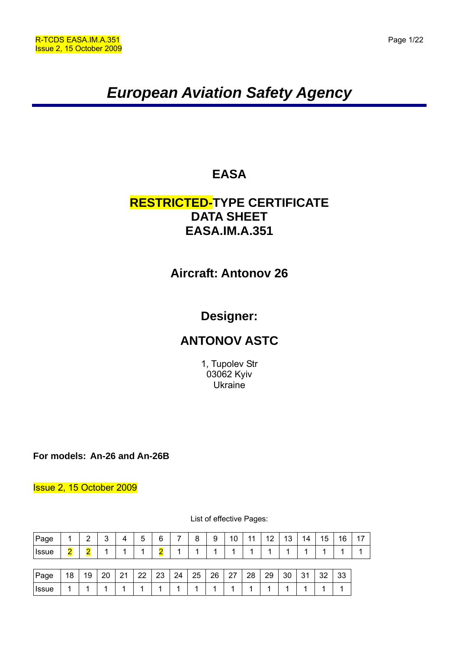# *European Aviation Safety Agency*

# **EASA**

# **RESTRICTED-TYPE CERTIFICATE DATA SHEET EASA.IM.A.351**

# **Aircraft: Antonov 26**

# **Designer:**

# **ANTONOV ASTC**

1, Tupolev Str 03062 Kyiv **Ukraine** 

**For models: An-26 and An-26B** 

### Issue 2, 15 October 2009

| Page         |                         | $\overline{2}$ | 3  | 4  | 5  | 6  | 7  | 8  | 9  | 10 | 11 | 12 | 13 | 14 | 15 | 16 | 17 |
|--------------|-------------------------|----------------|----|----|----|----|----|----|----|----|----|----|----|----|----|----|----|
| <b>Issue</b> | $\overline{\mathbf{2}}$ | Ω              |    |    |    | 2  |    | и  | и  | и  |    |    |    |    |    |    |    |
|              |                         |                |    |    |    |    |    |    |    |    |    |    |    |    |    |    |    |
| Page         | 18                      | 19             | 20 | 21 | 22 | 23 | 24 | 25 | 26 | 27 | 28 | 29 | 30 | 31 | 32 | 33 |    |

Issue 1 1 1 1 1 1 1 1 1 1 1 1 1 1 1 1

List of effective Pages: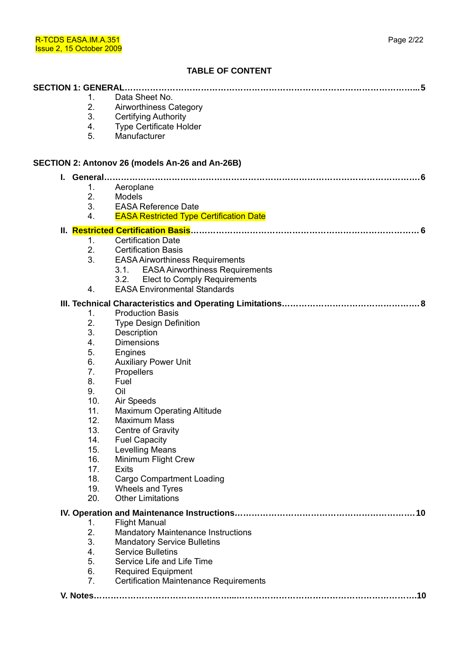### **TABLE OF CONTENT**

|    | <b>SECTION 1: GENERAL.</b> | . 5                                                                             |
|----|----------------------------|---------------------------------------------------------------------------------|
|    | 1.                         | Data Sheet No.                                                                  |
|    | 2.                         | Airworthiness Category                                                          |
|    | 3.                         | <b>Certifying Authority</b>                                                     |
|    | 4.                         | <b>Type Certificate Holder</b>                                                  |
|    | 5.                         | Manufacturer                                                                    |
|    |                            | SECTION 2: Antonov 26 (models An-26 and An-26B)                                 |
| L. |                            |                                                                                 |
|    | 1.                         | Aeroplane                                                                       |
|    | 2.                         | Models                                                                          |
|    | 3.                         | <b>EASA Reference Date</b>                                                      |
|    | 4.                         | <b>EASA Restricted Type Certification Date</b>                                  |
|    |                            |                                                                                 |
|    | 1.                         | <b>Certification Date</b>                                                       |
|    | 2.                         | <b>Certification Basis</b>                                                      |
|    | 3.                         | <b>EASA Airworthiness Requirements</b>                                          |
|    |                            | 3.1. EASA Airworthiness Requirements                                            |
|    |                            | <b>Elect to Comply Requirements</b><br>3.2.                                     |
|    | 4.                         | <b>EASA Environmental Standards</b>                                             |
|    |                            |                                                                                 |
|    | 1.                         | <b>Production Basis</b>                                                         |
|    | 2.                         | <b>Type Design Definition</b>                                                   |
|    | 3.                         | Description                                                                     |
|    | 4.                         | <b>Dimensions</b>                                                               |
|    | 5.                         | Engines                                                                         |
|    | 6.                         | <b>Auxiliary Power Unit</b>                                                     |
|    | 7 <sub>1</sub>             | Propellers                                                                      |
|    | 8.                         | Fuel                                                                            |
|    | 9.                         | Oil                                                                             |
|    | 10.                        | Air Speeds                                                                      |
|    | 11.                        | <b>Maximum Operating Altitude</b>                                               |
|    | 12.                        | <b>Maximum Mass</b>                                                             |
|    | 13.                        | Centre of Gravity                                                               |
|    | 14.                        | <b>Fuel Capacity</b>                                                            |
|    | 15.                        | <b>Levelling Means</b>                                                          |
|    | 16.<br>17.                 | Minimum Flight Crew<br><b>Exits</b>                                             |
|    | 18.                        |                                                                                 |
|    | 19.                        | <b>Cargo Compartment Loading</b><br>Wheels and Tyres                            |
|    | 20.                        | <b>Other Limitations</b>                                                        |
|    |                            |                                                                                 |
|    |                            | .10                                                                             |
|    | 1.<br>2.                   | <b>Flight Manual</b>                                                            |
|    | 3.                         | <b>Mandatory Maintenance Instructions</b><br><b>Mandatory Service Bulletins</b> |
|    | 4.                         | <b>Service Bulletins</b>                                                        |
|    | 5.                         | Service Life and Life Time                                                      |
|    | 6.                         | <b>Required Equipment</b>                                                       |
|    | 7.                         | <b>Certification Maintenance Requirements</b>                                   |
|    |                            |                                                                                 |
|    |                            |                                                                                 |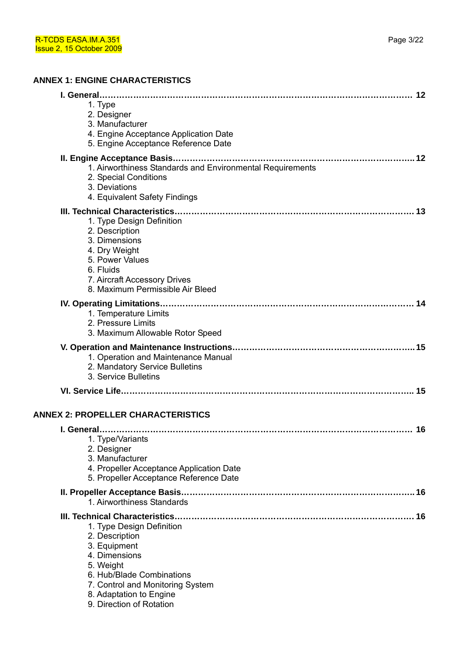| 1. Type<br>2. Designer<br>3. Manufacturer<br>4. Engine Acceptance Application Date<br>5. Engine Acceptance Reference Date                                                                                                                                 |
|-----------------------------------------------------------------------------------------------------------------------------------------------------------------------------------------------------------------------------------------------------------|
| 1. Airworthiness Standards and Environmental Requirements<br>2. Special Conditions<br>3. Deviations<br>4. Equivalent Safety Findings                                                                                                                      |
| 1. Type Design Definition<br>2. Description<br>3. Dimensions<br>4. Dry Weight<br>5. Power Values<br>6. Fluids<br>7. Aircraft Accessory Drives<br>8. Maximum Permissible Air Bleed                                                                         |
| 1. Temperature Limits<br>2. Pressure Limits<br>3. Maximum Allowable Rotor Speed                                                                                                                                                                           |
| 1. Operation and Maintenance Manual<br>2. Mandatory Service Bulletins<br>3. Service Bulletins                                                                                                                                                             |
|                                                                                                                                                                                                                                                           |
| <b>ANNEX 2: PROPELLER CHARACTERISTICS</b>                                                                                                                                                                                                                 |
| 1. Type/Variants<br>2. Designer<br>3. Manufacturer<br>4. Propeller Acceptance Application Date<br>5. Propeller Acceptance Reference Date                                                                                                                  |
| 1. Airworthiness Standards                                                                                                                                                                                                                                |
| III. Technical Characteristics<br>16<br>1. Type Design Definition<br>2. Description<br>3. Equipment<br>4. Dimensions<br>5. Weight<br>6. Hub/Blade Combinations<br>7. Control and Monitoring System<br>8. Adaptation to Engine<br>9. Direction of Rotation |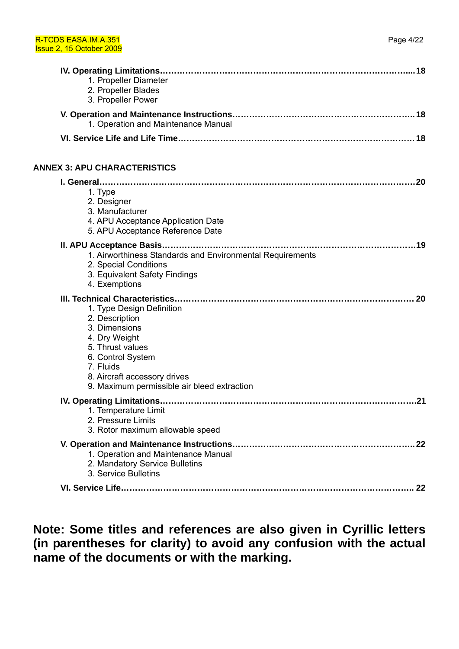| 1. Propeller Diameter<br>2. Propeller Blades<br>3. Propeller Power                                                                                                                                                 |
|--------------------------------------------------------------------------------------------------------------------------------------------------------------------------------------------------------------------|
| 1. Operation and Maintenance Manual                                                                                                                                                                                |
|                                                                                                                                                                                                                    |
| <b>ANNEX 3: APU CHARACTERISTICS</b>                                                                                                                                                                                |
| 1. Type<br>2. Designer<br>3. Manufacturer<br>4. APU Acceptance Application Date<br>5. APU Acceptance Reference Date                                                                                                |
| 1. Airworthiness Standards and Environmental Requirements<br>2. Special Conditions<br>3. Equivalent Safety Findings<br>4. Exemptions                                                                               |
| 1. Type Design Definition<br>2. Description<br>3. Dimensions<br>4. Dry Weight<br>5. Thrust values<br>6. Control System<br>7. Fluids<br>8. Aircraft accessory drives<br>9. Maximum permissible air bleed extraction |
| .21<br>1. Temperature Limit<br>2. Pressure Limits<br>3. Rotor maximum allowable speed                                                                                                                              |
| 1. Operation and Maintenance Manual<br>2. Mandatory Service Bulletins<br>3. Service Bulletins                                                                                                                      |
|                                                                                                                                                                                                                    |

**Note: Some titles and references are also given in Cyrillic letters (in parentheses for clarity) to avoid any confusion with the actual name of the documents or with the marking.**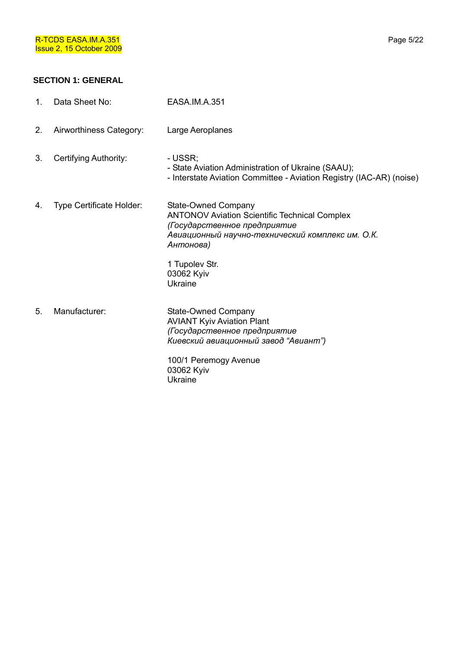# **SECTION 1: GENERAL**

| 1. | Data Sheet No:                  | EASA.IM.A.351                                                                                                                                                                      |
|----|---------------------------------|------------------------------------------------------------------------------------------------------------------------------------------------------------------------------------|
| 2. | Airworthiness Category:         | Large Aeroplanes                                                                                                                                                                   |
| 3. | Certifying Authority:           | - USSR;<br>- State Aviation Administration of Ukraine (SAAU);<br>- Interstate Aviation Committee - Aviation Registry (IAC-AR) (noise)                                              |
| 4. | <b>Type Certificate Holder:</b> | State-Owned Company<br><b>ANTONOV Aviation Scientific Technical Complex</b><br>(Государственное предприятие<br>Авиационный научно-технический комплекс им. О.К.<br>Антонова)       |
|    |                                 | 1 Tupolev Str.<br>03062 Kyiv<br>Ukraine                                                                                                                                            |
| 5. | Manufacturer:                   | State-Owned Company<br><b>AVIANT Kyiv Aviation Plant</b><br>(Государственное предприятие<br>Киевский авиационный завод "Авиант")<br>100/1 Peremogy Avenue<br>03062 Kyiv<br>Ukraine |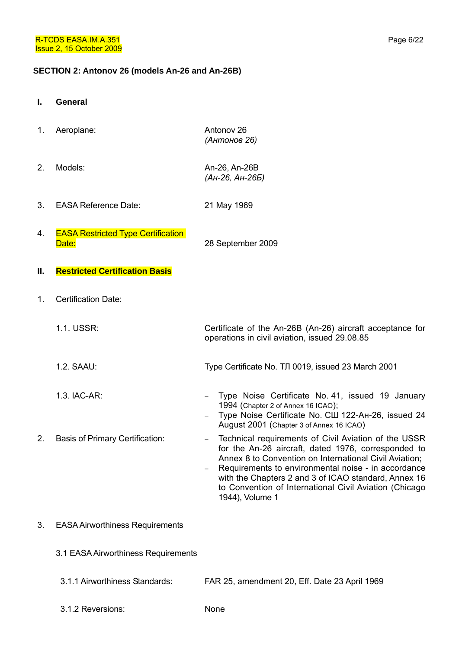#### **SECTION 2: Antonov 26 (models An-26 and An-26B)**

- **I. General**
- 1. Aeroplane: Antonov 26 *(Антонов 26)*
- 2. Models: An-26, An-26B *(Ан-26, Ан-26Б)*
- 3. EASA Reference Date: 21 May 1969
- 4. EASA Restricted Type Certification Date: 28 September 2009
- **II. Restricted Certification Basis**
- 1. Certification Date:
	- 1.1. USSR: Certificate of the An-26B (An-26) aircraft acceptance for
	- 1.2. SAAU: Type Certificate No. ТЛ 0019, issued 23 March 2001
	- 1.3. IAC-AR: − Type Noise Certificate No. 41, issued 19 January
		- 1994 (Chapter 2 of Annex 16 ICAO); − Type Noise Certificate No. СШ 122-Ан-26, issued 24 August 2001 (Chapter 3 of Annex 16 ICAO)

operations in civil aviation, issued 29.08.85

- 2. Basis of Primary Certification: Technical requirements of Civil Aviation of the USSR for the An-26 aircraft, dated 1976, corresponded to Annex 8 to Convention on International Civil Aviation; − Requirements to environmental noise - in accordance
	- with the Chapters 2 and 3 of ICAO standard, Annex 16 to Convention of International Civil Aviation (Chicago 1944), Volume 1
- 3. EASA Airworthiness Requirements
	- 3.1 EASA Airworthiness Requirements
		- 3.1.1 Airworthiness Standards: FAR 25, amendment 20, Eff. Date 23 April 1969
		- 3.1.2 Reversions: None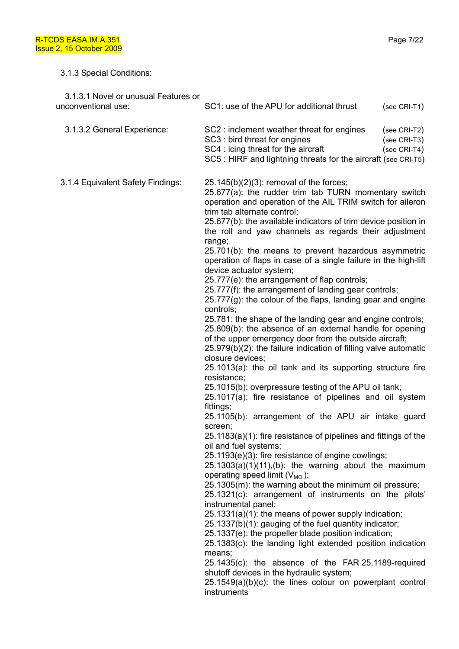# 3.1.3 Special Conditions:

| 3.1.3.1 Novel or unusual Features or<br>unconventional use: | SC1: use of the APU for additional thrust<br>(see CRI-T1)                                                                                                                                                                                                                                                                                                                                                                                                                                                                                                                                                                                                                                                                                                                                                                                                                                                                                                                                                                                                                                                                                                                                                                                                                                                                                                                                                                                                                                                                                                                                                                                                                                                                                                                                                                                                                                                                                                                                                                                                                         |
|-------------------------------------------------------------|-----------------------------------------------------------------------------------------------------------------------------------------------------------------------------------------------------------------------------------------------------------------------------------------------------------------------------------------------------------------------------------------------------------------------------------------------------------------------------------------------------------------------------------------------------------------------------------------------------------------------------------------------------------------------------------------------------------------------------------------------------------------------------------------------------------------------------------------------------------------------------------------------------------------------------------------------------------------------------------------------------------------------------------------------------------------------------------------------------------------------------------------------------------------------------------------------------------------------------------------------------------------------------------------------------------------------------------------------------------------------------------------------------------------------------------------------------------------------------------------------------------------------------------------------------------------------------------------------------------------------------------------------------------------------------------------------------------------------------------------------------------------------------------------------------------------------------------------------------------------------------------------------------------------------------------------------------------------------------------------------------------------------------------------------------------------------------------|
| 3.1.3.2 General Experience:                                 | SC2: inclement weather threat for engines<br>(see CRI-T2)<br>SC3 : bird threat for engines<br>(see CRI-T3)<br>SC4 : icing threat for the aircraft<br>(see CRI-T4)<br>SC5 : HIRF and lightning threats for the aircraft (see CRI-T5)                                                                                                                                                                                                                                                                                                                                                                                                                                                                                                                                                                                                                                                                                                                                                                                                                                                                                                                                                                                                                                                                                                                                                                                                                                                                                                                                                                                                                                                                                                                                                                                                                                                                                                                                                                                                                                               |
| 3.1.4 Equivalent Safety Findings:                           | $25.145(b)(2)(3)$ : removal of the forces;<br>25.677(a): the rudder trim tab TURN momentary switch<br>operation and operation of the AIL TRIM switch for aileron<br>trim tab alternate control;<br>25.677(b): the available indicators of trim device position in<br>the roll and yaw channels as regards their adjustment<br>range;<br>25.701(b): the means to prevent hazardous asymmetric<br>operation of flaps in case of a single failure in the high-lift<br>device actuator system;<br>25.777(e): the arrangement of flap controls;<br>25.777(f): the arrangement of landing gear controls;<br>$25.777(g)$ : the colour of the flaps, landing gear and engine<br>controls;<br>25.781: the shape of the landing gear and engine controls;<br>25.809(b): the absence of an external handle for opening<br>of the upper emergency door from the outside aircraft;<br>25.979(b)(2): the failure indication of filling valve automatic<br>closure devices;<br>25.1013(a): the oil tank and its supporting structure fire<br>resistance;<br>25.1015(b): overpressure testing of the APU oil tank;<br>25.1017(a): fire resistance of pipelines and oil system<br>fittings;<br>25.1105(b): arrangement of the APU air intake guard<br>screen;<br>25.1183(a)(1): fire resistance of pipelines and fittings of the<br>oil and fuel systems;<br>25.1193(e)(3): fire resistance of engine cowlings;<br>$25.1303(a)(1)(11), (b)$ : the warning about the maximum<br>operating speed limit $(V_{MO})$ ;<br>25.1305(m): the warning about the minimum oil pressure;<br>25.1321(c): arrangement of instruments on the pilots'<br>instrumental panel;<br>25.1331(a)(1): the means of power supply indication;<br>25.1337(b)(1): gauging of the fuel quantity indicator;<br>25.1337(e): the propeller blade position indication;<br>25.1383(c): the landing light extended position indication<br>means;<br>$25.1435(c)$ : the absence of the FAR 25.1189-required<br>shutoff devices in the hydraulic system;<br>$25.1549(a)(b)(c)$ : the lines colour on powerplant control<br>instruments |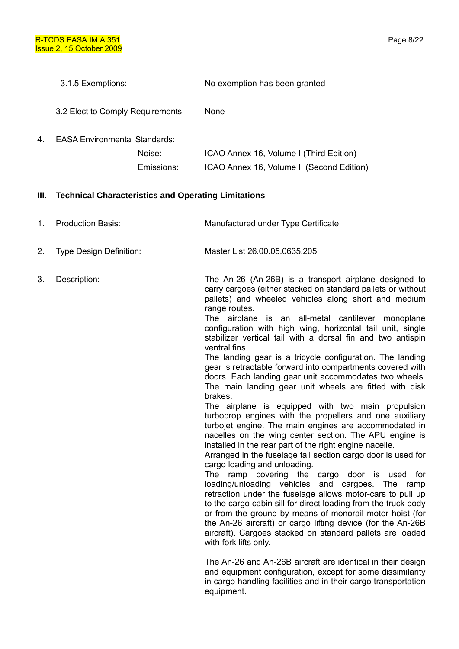- 3.1.5 Exemptions: No exemption has been granted
- 3.2 Elect to Comply Requirements: None
- 4. EASA Environmental Standards:

| Noise:     | ICAO Annex 16, Volume I (Third Edition)   |
|------------|-------------------------------------------|
| Emissions: | ICAO Annex 16, Volume II (Second Edition) |

### **III. Technical Characteristics and Operating Limitations**

| 1. | <b>Production Basis:</b>       | Manufactured under Type Certificate                                                                                                                                                                                                                                                                                                                                                                                                                                                                                                                                                                                                                                                                                                                                                                                                                                                                                                                                                                                                                                                                                                                                                                                                                                                                                                                                                                                                                                                                             |
|----|--------------------------------|-----------------------------------------------------------------------------------------------------------------------------------------------------------------------------------------------------------------------------------------------------------------------------------------------------------------------------------------------------------------------------------------------------------------------------------------------------------------------------------------------------------------------------------------------------------------------------------------------------------------------------------------------------------------------------------------------------------------------------------------------------------------------------------------------------------------------------------------------------------------------------------------------------------------------------------------------------------------------------------------------------------------------------------------------------------------------------------------------------------------------------------------------------------------------------------------------------------------------------------------------------------------------------------------------------------------------------------------------------------------------------------------------------------------------------------------------------------------------------------------------------------------|
| 2. | <b>Type Design Definition:</b> | Master List 26.00.05.0635.205                                                                                                                                                                                                                                                                                                                                                                                                                                                                                                                                                                                                                                                                                                                                                                                                                                                                                                                                                                                                                                                                                                                                                                                                                                                                                                                                                                                                                                                                                   |
| 3. | Description:                   | The An-26 (An-26B) is a transport airplane designed to<br>carry cargoes (either stacked on standard pallets or without<br>pallets) and wheeled vehicles along short and medium<br>range routes.<br>The airplane is an all-metal cantilever monoplane<br>configuration with high wing, horizontal tail unit, single<br>stabilizer vertical tail with a dorsal fin and two antispin<br>ventral fins.<br>The landing gear is a tricycle configuration. The landing<br>gear is retractable forward into compartments covered with<br>doors. Each landing gear unit accommodates two wheels.<br>The main landing gear unit wheels are fitted with disk<br>brakes.<br>The airplane is equipped with two main propulsion<br>turboprop engines with the propellers and one auxiliary<br>turbojet engine. The main engines are accommodated in<br>nacelles on the wing center section. The APU engine is<br>installed in the rear part of the right engine nacelle.<br>Arranged in the fuselage tail section cargo door is used for<br>cargo loading and unloading.<br>The ramp covering the cargo door is used for<br>loading/unloading vehicles and cargoes. The ramp<br>retraction under the fuselage allows motor-cars to pull up<br>to the cargo cabin sill for direct loading from the truck body<br>or from the ground by means of monorail motor hoist (for<br>the An-26 aircraft) or cargo lifting device (for the An-26B<br>aircraft). Cargoes stacked on standard pallets are loaded<br>with fork lifts only. |
|    |                                | The An-26 and An-26B aircraft are identical in their design<br>and equipment configuration, except for some dissimilarity<br>in cargo handling facilities and in their cargo transportation                                                                                                                                                                                                                                                                                                                                                                                                                                                                                                                                                                                                                                                                                                                                                                                                                                                                                                                                                                                                                                                                                                                                                                                                                                                                                                                     |

equipment.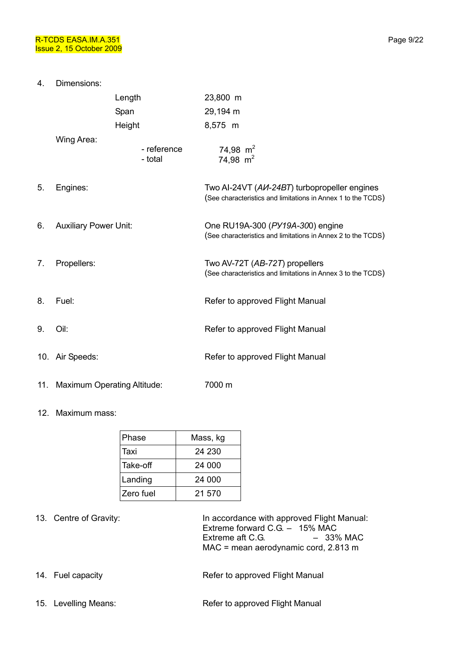4. Dimensions: Length 23,800 m Span 29,194 m Height 8,575 m Wing Area: - reference - total 74,98  $m<sup>2</sup>$ 74.98  $m<sup>2</sup>$ 5. Engines: Two AI-24VT (*АИ-24ВТ*) turbopropeller engines (See characteristics and limitations in Annex 1 to the TCDS) 6. Auxiliary Power Unit: One RU19A-300 (*РУ19А-30*0) engine (See characteristics and limitations in Annex 2 to the TCDS) 7. Propellers: Two AV-72T (*АВ-72Т*) propellers (See characteristics and limitations in Annex 3 to the TCDS) 8. Fuel: **Refer to approved Flight Manual** 9. Oil: **Discript Access 2018** Refer to approved Flight Manual 10. Air Speeds: The Contract Refer to approved Flight Manual 11. Maximum Operating Altitude: 7000 m

#### 12. Maximum mass:

| Phase     | Mass, kg |  |  |
|-----------|----------|--|--|
| Taxi      | 24 230   |  |  |
| Take-off  | 24 000   |  |  |
| Landing   | 24 000   |  |  |
| Zero fuel | 21.570   |  |  |

13. Centre of Gravity: **In accordance with approved Flight Manual:** Extreme forward C.G. – 15% MAC Extreme aft C.G.  $-33\%$  MAC MAC = mean aerodynamic cord, 2.813 m

- 14. Fuel capacity **Refer to approved Flight Manual**
- 15. Levelling Means: The Refer to approved Flight Manual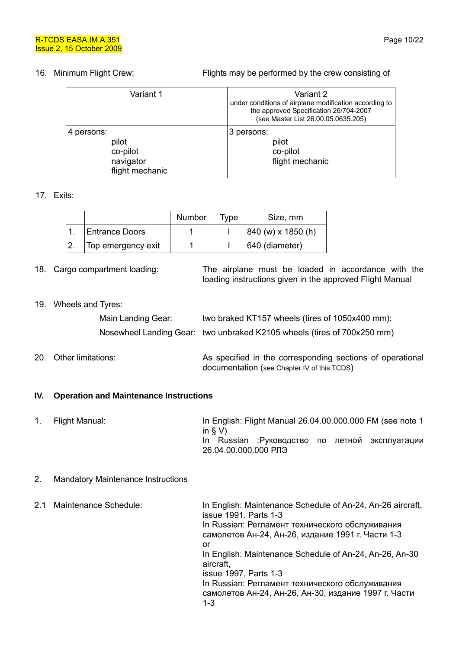#### 16. Minimum Flight Crew: Flights may be performed by the crew consisting of

| Variant 1                                                       | Variant 2<br>under conditions of airplane modification according to<br>the approved Specification 26/704-2007<br>(see Master List 26.00.05.0635.205) |
|-----------------------------------------------------------------|------------------------------------------------------------------------------------------------------------------------------------------------------|
| 4 persons:<br>pilot<br>co-pilot<br>navigator<br>flight mechanic | 3 persons:<br>pilot<br>co-pilot<br>flight mechanic                                                                                                   |

#### 17. Exits:

|                       | Number | Tvpe | Size, mm                                    |
|-----------------------|--------|------|---------------------------------------------|
| <b>Entrance Doors</b> |        |      | $ 840 \text{ (w)} \times 1850 \text{ (h)} $ |
| Top emergency exit    |        |      | 640 (diameter)                              |

18. Cargo compartment loading: The airplane must be loaded in accordance with the loading instructions given in the approved Flight Manual

#### 19. Wheels and Tyres:

| Main Landing Gear: | two braked KT157 wheels (tires of 1050x400 mm);                         |
|--------------------|-------------------------------------------------------------------------|
|                    | Nosewheel Landing Gear: two unbraked K2105 wheels (tires of 700x250 mm) |
|                    |                                                                         |

### 20. Other limitations: As specified in the corresponding sections of operational documentation (see Chapter IV of this TCDS)

#### **IV. Operation and Maintenance Instructions**

1. Flight Manual: In English: Flight Manual 26.04.00.000.000 FM (see note 1 in  $\S V$ ) In Russian :Руководство по летной эксплуатации 26.04.00.000.000 РЛЭ

#### 2. Mandatory Maintenance Instructions

|  | 2.1 Maintenance Schedule: | In English: Maintenance Schedule of An-24, An-26 aircraft,<br>issue 1991. Parts 1-3                     |
|--|---------------------------|---------------------------------------------------------------------------------------------------------|
|  |                           | In Russian: Регламент технического обслуживания<br>самолетов Ан-24, Ан-26, издание 1991 г. Части 1-3    |
|  |                           | or                                                                                                      |
|  |                           | In English: Maintenance Schedule of An-24, An-26, An-30<br>aircraft,                                    |
|  |                           | issue 1997, Parts 1-3                                                                                   |
|  |                           | In Russian: Регламент технического обслуживания<br>самолетов Ан-24, Ан-26, Ан-30, издание 1997 г. Части |
|  |                           | $1 - 3$                                                                                                 |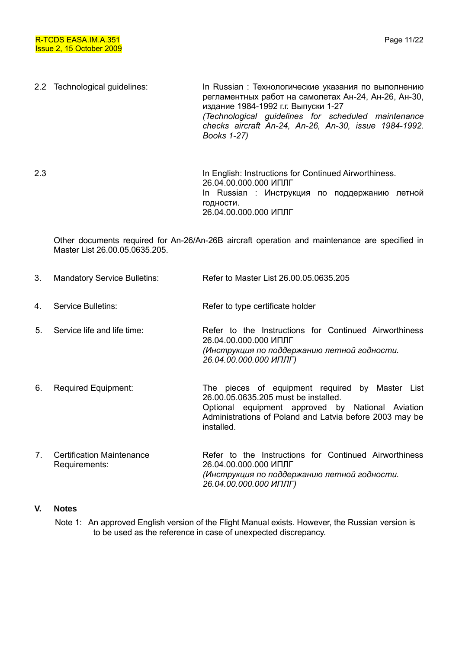2.2 Technological guidelines: In Russian : Технологические указания по выполнению регламентных работ на самолетах Ан-24, Ан-26, Ан-30, издание 1984-1992 г.г. Выпуски 1-27 *(Technological guidelines for scheduled maintenance checks aircraft An-24, An-26, An-30, issue 1984-1992. Books 1-27)* 

2.3 In English: Instructions for Continued Airworthiness. 26.04.00.000.000 ИПЛГ In Russian : Инструкция по поддержанию летной годности. 26.04.00.000.000 ИПЛГ

Other documents required for An-26/An-26B aircraft operation and maintenance are specified in Master List 26.00.05.0635.205.

- 3. Mandatory Service Bulletins: Refer to Master List 26.00.05.0635.205 4. Service Bulletins: Refer to type certificate holder 5. Service life and life time: Refer to the Instructions for Continued Airworthiness 26.04.00.000.000 ИПЛГ *(Инструкция по поддержанию летной годности. 26.04.00.000.000 ИПЛГ)* 6. Required Equipment: The pieces of equipment required by Master List 26.00.05.0635.205 must be installed. Optional equipment approved by National Aviation Administrations of Poland and Latvia before 2003 may be installed.
- 7. Certification Maintenance Requirements: Refer to the Instructions for Continued Airworthiness 26.04.00.000.000 ИПЛГ *(Инструкция по поддержанию летной годности. 26.04.00.000.000 ИПЛГ)*

#### **V. Notes**

Note 1: An approved English version of the Flight Manual exists. However, the Russian version is to be used as the reference in case of unexpected discrepancy.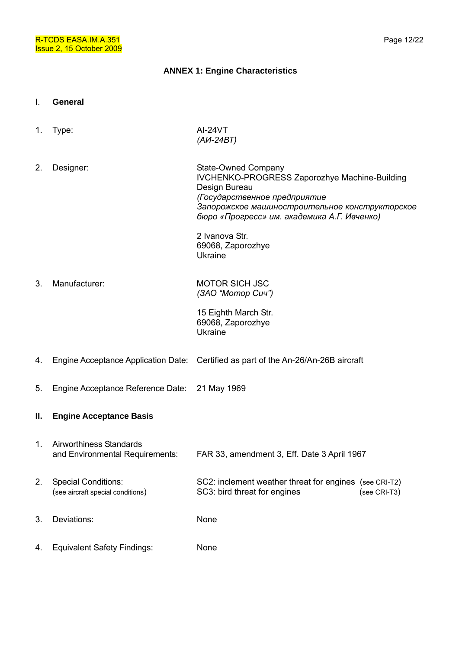#### **ANNEX 1: Engine Characteristics**

- I. **General**
- 1. Type: AI-24VT *(АИ-24ВТ)*  2. Designer: State-Owned Company IVCHENKO-PROGRESS Zaporozhye Machine-Building Design Bureau *(Государственное предприятие Запорожское машиностроительное конструкторское бюро «Прогресс» им. академика А.Г. Ивченко)*  2 Ivanova Str. 69068, Zaporozhye Ukraine 3. Manufacturer: MOTOR SICH JSC *(ЗАО "Мотор Сич")*  15 Eighth March Str. 69068, Zaporozhye Ukraine 4. Engine Acceptance Application Date: Certified as part of the An-26/An-26B aircraft 5. Engine Acceptance Reference Date: 21 May 1969 **II. Engine Acceptance Basis**  1. Airworthiness Standards and Environmental Requirements: FAR 33, amendment 3, Eff. Date 3 April 1967 2. Special Conditions: (see aircraft special conditions) SC2: inclement weather threat for engines (see CRI-T2) SC3: bird threat for engines (see CRI-T3) 3. Deviations: None 4. Equivalent Safety Findings: None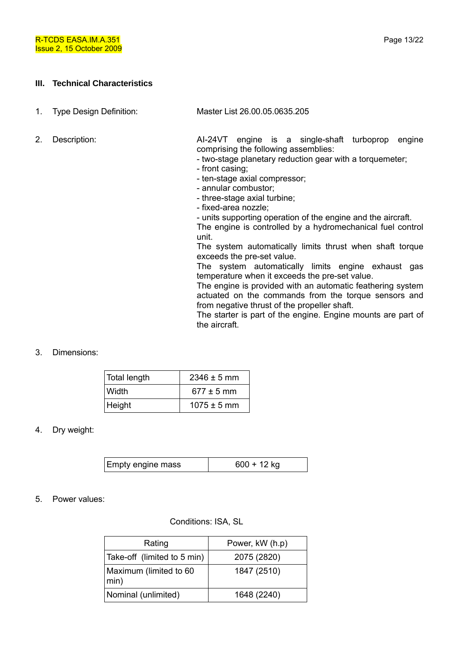#### **III. Technical Characteristics**

| 1. |  | <b>Type Design Definition:</b> |
|----|--|--------------------------------|
|    |  |                                |

1. Type Design Definition: Master List 26.00.05.0635.205

2. Description: AI-24VT engine is a single-shaft turboprop engine comprising the following assemblies:

- two-stage planetary reduction gear with a torquemeter;
- front casing;
- ten-stage axial compressor;
- annular combustor;
- three-stage axial turbine;
- fixed-area nozzle;
- units supporting operation of the engine and the aircraft.

The engine is controlled by a hydromechanical fuel control unit.

The system automatically limits thrust when shaft torque exceeds the pre-set value.

The system automatically limits engine exhaust gas temperature when it exceeds the pre-set value.

The engine is provided with an automatic feathering system actuated on the commands from the torque sensors and from negative thrust of the propeller shaft.

The starter is part of the engine. Engine mounts are part of the aircraft.

#### 3. Dimensions:

| Total length | $2346 \pm 5$ mm |
|--------------|-----------------|
| Width        | $677 \pm 5$ mm  |
| Height       | $1075 \pm 5$ mm |

#### 4. Dry weight:

| Empty engine mass | $600 + 12$ kg |
|-------------------|---------------|
|-------------------|---------------|

#### 5. Power values:

#### Conditions: ISA, SL

| Rating                         | Power, kW (h.p) |
|--------------------------------|-----------------|
| Take-off (limited to 5 min)    | 2075 (2820)     |
| Maximum (limited to 60<br>min) | 1847 (2510)     |
| Nominal (unlimited)            | 1648 (2240)     |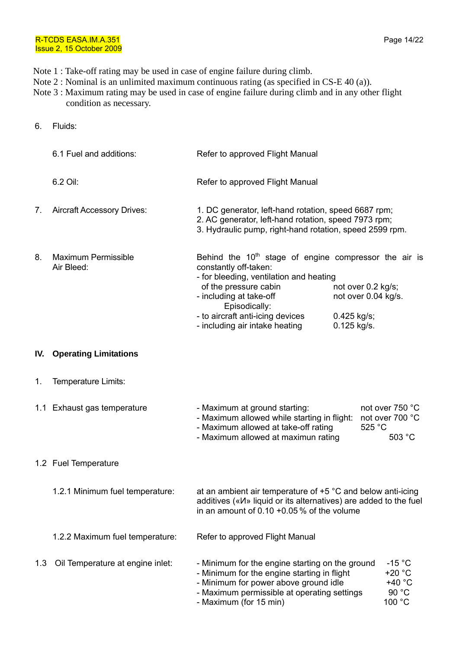- Note 1 : Take-off rating may be used in case of engine failure during climb.
- Note 2 : Nominal is an unlimited maximum continuous rating (as specified in CS-E 40 (a)).
- Note 3 : Maximum rating may be used in case of engine failure during climb and in any other flight condition as necessary.
- 6. Fluids:

|     | 6.1 Fuel and additions:                  | Refer to approved Flight Manual                                                                                                                                                                                                                                        |                                                                         |                                                   |
|-----|------------------------------------------|------------------------------------------------------------------------------------------------------------------------------------------------------------------------------------------------------------------------------------------------------------------------|-------------------------------------------------------------------------|---------------------------------------------------|
|     | 6.2 Oil:                                 | Refer to approved Flight Manual                                                                                                                                                                                                                                        |                                                                         |                                                   |
| 7.  | <b>Aircraft Accessory Drives:</b>        | 1. DC generator, left-hand rotation, speed 6687 rpm;<br>2. AC generator, left-hand rotation, speed 7973 rpm;<br>3. Hydraulic pump, right-hand rotation, speed 2599 rpm.                                                                                                |                                                                         |                                                   |
| 8.  | <b>Maximum Permissible</b><br>Air Bleed: | Behind the $10th$ stage of engine compressor the air is<br>constantly off-taken:<br>- for bleeding, ventilation and heating<br>of the pressure cabin<br>- including at take-off<br>Episodically:<br>- to aircraft anti-icing devices<br>- including air intake heating | not over 0.2 kg/s;<br>not over 0.04 kg/s.<br>0.425 kg/s;<br>0.125 kg/s. |                                                   |
|     | <b>IV.</b> Operating Limitations         |                                                                                                                                                                                                                                                                        |                                                                         |                                                   |
| 1.  | Temperature Limits:                      |                                                                                                                                                                                                                                                                        |                                                                         |                                                   |
|     | 1.1 Exhaust gas temperature              | - Maximum at ground starting:<br>- Maximum allowed while starting in flight: not over 700 °C<br>- Maximum allowed at take-off rating<br>- Maximum allowed at maximun rating                                                                                            | 525 °C                                                                  | not over 750 °C<br>503 °C                         |
|     | 1.2 Fuel Temperature                     |                                                                                                                                                                                                                                                                        |                                                                         |                                                   |
|     | 1.2.1 Minimum fuel temperature:          | at an ambient air temperature of $+5$ °C and below anti-icing<br>additives (« $M$ » liquid or its alternatives) are added to the fuel<br>in an amount of $0.10 + 0.05$ % of the volume                                                                                 |                                                                         |                                                   |
|     | 1.2.2 Maximum fuel temperature:          | Refer to approved Flight Manual                                                                                                                                                                                                                                        |                                                                         |                                                   |
| 1.3 | Oil Temperature at engine inlet:         | - Minimum for the engine starting on the ground<br>- Minimum for the engine starting in flight<br>- Minimum for power above ground idle<br>- Maximum permissible at operating settings<br>- Maximum (for 15 min)                                                       |                                                                         | $-15 °C$<br>$+20 °C$<br>+40 °C<br>90 °C<br>100 °C |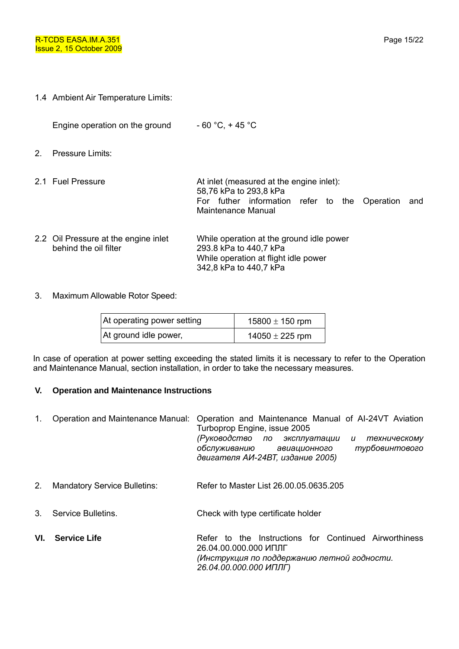1.4 Ambient Air Temperature Limits:

Engine operation on the ground  $-60 \degree C$ ,  $+45 \degree C$ 

- 2. Pressure Limits:
- 2.1 Fuel Pressure **At inlet (measured at the engine inlet):** 58,76 kPa to 293,8 kPa For futher information refer to the Operation and Maintenance Manual
- 2.2 Oil Pressure at the engine inlet behind the oil filter While operation at the ground idle power 293.8 kPa to 440,7 kPa While operation at flight idle power 342,8 kPa to 440,7 kPa
- 3. Maximum Allowable Rotor Speed:

| At operating power setting | 15800 $\pm$ 150 rpm |  |  |
|----------------------------|---------------------|--|--|
| At ground idle power,      | $14050 \pm 225$ rpm |  |  |

In case of operation at power setting exceeding the stated limits it is necessary to refer to the Operation and Maintenance Manual, section installation, in order to take the necessary measures.

#### **V. Operation and Maintenance Instructions**

| 1.             |                                     | Operation and Maintenance Manual: Operation and Maintenance Manual of AI-24VT Aviation<br>Turboprop Engine, issue 2005<br>(Руководство по эксплуатации<br>техническому<br>u<br>турбовинтового<br>обслуживанию авиационного<br>двигателя АИ-24ВТ, издание 2005) |
|----------------|-------------------------------------|----------------------------------------------------------------------------------------------------------------------------------------------------------------------------------------------------------------------------------------------------------------|
| 2 <sub>1</sub> | <b>Mandatory Service Bulletins:</b> | Refer to Master List 26,00,05,0635,205                                                                                                                                                                                                                         |
| $3_{-}$        | Service Bulletins.                  | Check with type certificate holder                                                                                                                                                                                                                             |
| VI.            | <b>Service Life</b>                 | Refer to the Instructions for Continued Airworthiness<br>26.04.00.000.000 ИПЛГ                                                                                                                                                                                 |

*26.04.00.000.000 ИПЛГ)*

*(Инструкция по поддержанию летной годности.*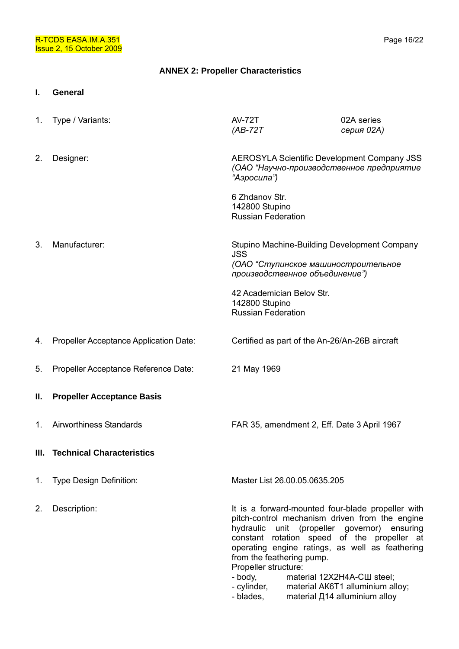### **ANNEX 2: Propeller Characteristics**

**I. General** 

| $1_{\cdot}$ | Type / Variants:                       | <b>AV-72T</b><br>$(AB-72T)$                                                                                                                                                                                                                                                                                    | 02A series<br>серия 02А)                                                                                                              |
|-------------|----------------------------------------|----------------------------------------------------------------------------------------------------------------------------------------------------------------------------------------------------------------------------------------------------------------------------------------------------------------|---------------------------------------------------------------------------------------------------------------------------------------|
| 2.          | Designer:                              | <b>AEROSYLA Scientific Development Company JSS</b><br>(ОАО "Научно-производственное предприятие<br>"Аэросила")                                                                                                                                                                                                 |                                                                                                                                       |
|             |                                        | 6 Zhdanov Str.<br>142800 Stupino<br><b>Russian Federation</b>                                                                                                                                                                                                                                                  |                                                                                                                                       |
| 3.          | Manufacturer:                          | Stupino Machine-Building Development Company<br><b>JSS</b><br>(ОАО "Ступинское машиностроительное<br>производственное объединение")                                                                                                                                                                            |                                                                                                                                       |
|             |                                        | 42 Academician Belov Str.<br>142800 Stupino<br><b>Russian Federation</b>                                                                                                                                                                                                                                       |                                                                                                                                       |
| 4.          | Propeller Acceptance Application Date: | Certified as part of the An-26/An-26B aircraft                                                                                                                                                                                                                                                                 |                                                                                                                                       |
| 5.          | Propeller Acceptance Reference Date:   | 21 May 1969                                                                                                                                                                                                                                                                                                    |                                                                                                                                       |
| Ш.          | <b>Propeller Acceptance Basis</b>      |                                                                                                                                                                                                                                                                                                                |                                                                                                                                       |
| 1.          | Airworthiness Standards                | FAR 35, amendment 2, Eff. Date 3 April 1967                                                                                                                                                                                                                                                                    |                                                                                                                                       |
|             | III. Technical Characteristics         |                                                                                                                                                                                                                                                                                                                |                                                                                                                                       |
| 1.          | <b>Type Design Definition:</b>         | Master List 26.00.05.0635.205                                                                                                                                                                                                                                                                                  |                                                                                                                                       |
| 2.          | Description:                           | It is a forward-mounted four-blade propeller with<br>pitch-control mechanism driven from the engine<br>hydraulic<br>constant rotation speed of the propeller at<br>operating engine ratings, as well as feathering<br>from the feathering pump.<br>Propeller structure:<br>- body,<br>- cylinder,<br>- blades, | unit (propeller governor) ensuring<br>material 12X2H4A-CШ steel;<br>material AK6T1 alluminium alloy;<br>material Д14 alluminium alloy |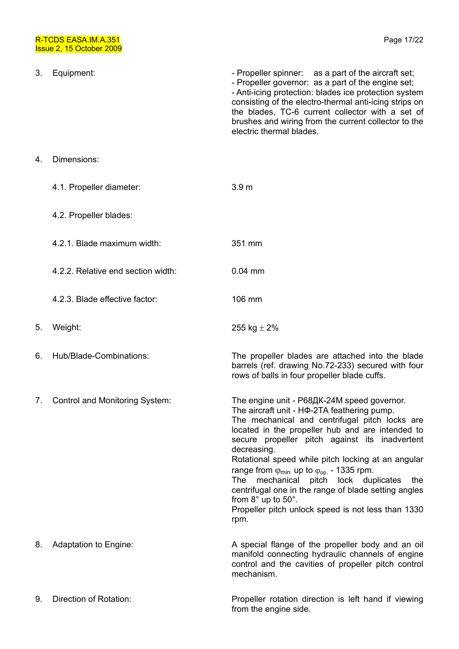| 3. | Equipment:                         | - Propeller spinner: as a part of the aircraft set;<br>- Propeller governor: as a part of the engine set;<br>- Anti-icing protection: blades ice protection system<br>consisting of the electro-thermal anti-icing strips on<br>the blades, TC-6 current collector with a set of<br>brushes and wiring from the current collector to the<br>electric thermal blades.                                                                                                                                                                                                                                              |
|----|------------------------------------|-------------------------------------------------------------------------------------------------------------------------------------------------------------------------------------------------------------------------------------------------------------------------------------------------------------------------------------------------------------------------------------------------------------------------------------------------------------------------------------------------------------------------------------------------------------------------------------------------------------------|
| 4. | Dimensions:                        |                                                                                                                                                                                                                                                                                                                                                                                                                                                                                                                                                                                                                   |
|    | 4.1. Propeller diameter:           | 3.9 <sub>m</sub>                                                                                                                                                                                                                                                                                                                                                                                                                                                                                                                                                                                                  |
|    | 4.2. Propeller blades:             |                                                                                                                                                                                                                                                                                                                                                                                                                                                                                                                                                                                                                   |
|    | 4.2.1. Blade maximum width:        | 351 mm                                                                                                                                                                                                                                                                                                                                                                                                                                                                                                                                                                                                            |
|    | 4.2.2. Relative end section width: | $0.04$ mm                                                                                                                                                                                                                                                                                                                                                                                                                                                                                                                                                                                                         |
|    | 4.2.3. Blade effective factor:     | 106 mm                                                                                                                                                                                                                                                                                                                                                                                                                                                                                                                                                                                                            |
| 5. | Weight:                            | 255 kg $\pm$ 2%                                                                                                                                                                                                                                                                                                                                                                                                                                                                                                                                                                                                   |
| 6. | Hub/Blade-Combinations:            | The propeller blades are attached into the blade<br>barrels (ref. drawing No.72-233) secured with four<br>rows of balls in four propeller blade cuffs.                                                                                                                                                                                                                                                                                                                                                                                                                                                            |
| 7. | Control and Monitoring System:     | The engine unit - Р68ДК-24М speed governor.<br>The aircraft unit - HФ-2TA feathering pump.<br>The mechanical and centrifugal pitch locks are<br>located in the propeller hub and are intended to<br>secure propeller pitch against its inadvertent<br>decreasing.<br>Rotational speed while pitch locking at an angular<br>range from $\varphi_{\text{min}}$ up to $\varphi_{\text{op}}$ - 1335 rpm.<br>mechanical pitch lock duplicates<br>The<br>the<br>centrifugal one in the range of blade setting angles<br>from $8^\circ$ up to $50^\circ$ .<br>Propeller pitch unlock speed is not less than 1330<br>rpm. |
| 8. | Adaptation to Engine:              | A special flange of the propeller body and an oil<br>manifold connecting hydraulic channels of engine<br>control and the cavities of propeller pitch control<br>mechanism.                                                                                                                                                                                                                                                                                                                                                                                                                                        |
| 9. | Direction of Rotation:             | Propeller rotation direction is left hand if viewing<br>from the engine side.                                                                                                                                                                                                                                                                                                                                                                                                                                                                                                                                     |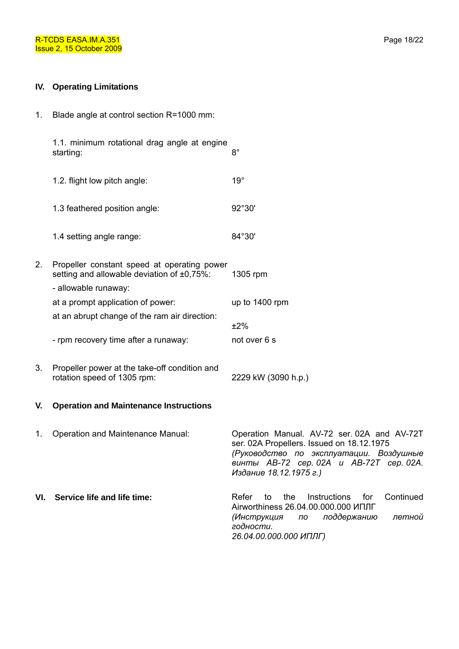## **IV. Operating Limitations**

1. Blade angle at control section R=1000 mm:

|     | 1.1. minimum rotational drag angle at engine<br>starting:                                                         | $8^{\circ}$                                                                                                                                                                                              |
|-----|-------------------------------------------------------------------------------------------------------------------|----------------------------------------------------------------------------------------------------------------------------------------------------------------------------------------------------------|
|     | 1.2. flight low pitch angle:                                                                                      | $19^\circ$                                                                                                                                                                                               |
|     | 1.3 feathered position angle:                                                                                     | 92°30'                                                                                                                                                                                                   |
|     | 1.4 setting angle range:                                                                                          | 84°30'                                                                                                                                                                                                   |
| 2.  | Propeller constant speed at operating power<br>setting and allowable deviation of ±0,75%:<br>- allowable runaway: | 1305 rpm                                                                                                                                                                                                 |
|     | at a prompt application of power:                                                                                 | up to 1400 rpm                                                                                                                                                                                           |
|     | at an abrupt change of the ram air direction:                                                                     | ±2%                                                                                                                                                                                                      |
|     | - rpm recovery time after a runaway:                                                                              | not over 6 s                                                                                                                                                                                             |
| 3.  | Propeller power at the take-off condition and<br>rotation speed of 1305 rpm:                                      | 2229 kW (3090 h.p.)                                                                                                                                                                                      |
| V.  | <b>Operation and Maintenance Instructions</b>                                                                     |                                                                                                                                                                                                          |
| 1.  | Operation and Maintenance Manual:                                                                                 | Operation Manual. AV-72 ser. 02A and AV-72T<br>ser. 02A Propellers. Issued on 18.12.1975<br>(Руководство по эксплуатации. Воздушные<br>винты АВ-72 сер. 02А и АВ-72Т сер. 02А.<br>Издание 18.12.1975 г.) |
| VI. | Service life and life time:                                                                                       | Refer<br>the<br>Instructions<br>for<br>Continued<br>to<br>Airworthiness 26.04.00.000.000 ИПЛГ<br>поддержанию<br>(Инструкция<br>летной<br>по<br>годности.<br>26.04.00.000.000 ИПЛГ)                       |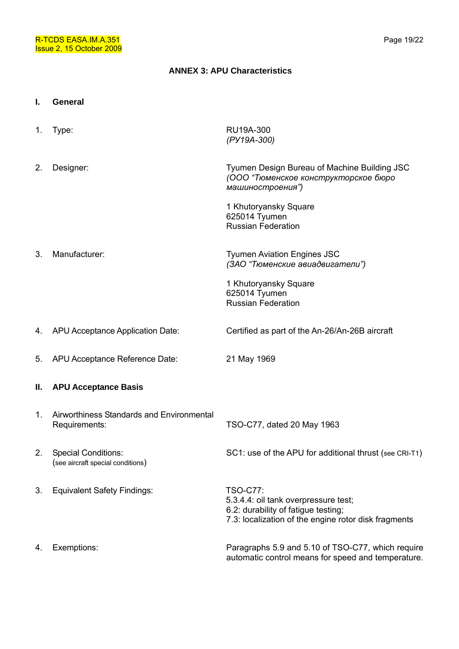#### **ANNEX 3: APU Characteristics**

#### **I. General**

1. Type: RU19A-300 *(РУ19А-300)*  2. Designer: Tyumen Design Bureau of Machine Building JSC *(ООО "Тюменское конструкторское бюро машиностроения")*  1 Khutoryansky Square 625014 Tyumen Russian Federation 3. Manufacturer: Tyumen Aviation Engines JSC *(ЗАО "Тюменские авиадвигатели")*  1 Khutoryansky Square 625014 Tyumen Russian Federation 4. APU Acceptance Application Date: Certified as part of the An-26/An-26B aircraft 5. APU Acceptance Reference Date: 21 May 1969 **II. APU Acceptance Basis**  1. Airworthiness Standards and Environmental Requirements: TSO-C77, dated 20 May 1963 2. Special Conditions: (see aircraft special conditions) SC1: use of the APU for additional thrust (see CRI-T1) 3. Equivalent Safety Findings: TSO-C77: 5.3.4.4: oil tank overpressure test; 6.2: durability of fatigue testing; 7.3: localization of the engine rotor disk fragments 4. Exemptions: Paragraphs 5.9 and 5.10 of TSO-C77, which require automatic control means for speed and temperature.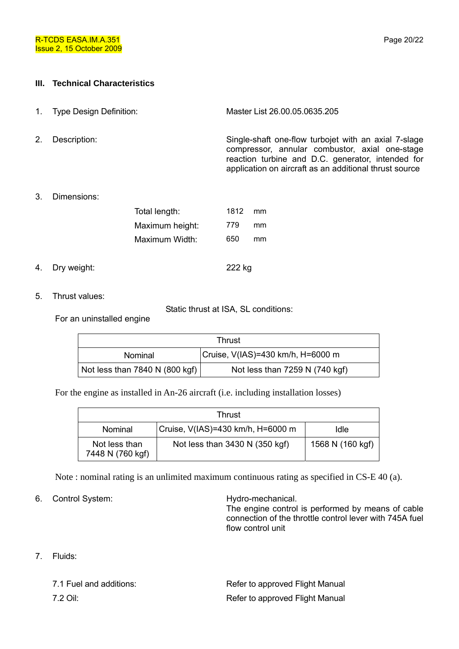### **III. Technical Characteristics**

- 1. Type Design Definition: Master List 26.00.05.0635.205
- 

2. Description: Single-shaft one-flow turbojet with an axial 7-slage compressor, annular combustor, axial one-stage reaction turbine and D.C. generator, intended for application on aircraft as an additional thrust source

3. Dimensions:

| Total length:   |     | 1812<br>mm |
|-----------------|-----|------------|
| Maximum height: | 779 | mm         |
| Maximum Width:  | 650 | mm         |
|                 |     |            |

- 4. Dry weight: 222 kg
- 5. Thrust values:

Static thrust at ISA, SL conditions:

For an uninstalled engine

| Thrust                         |                                   |  |
|--------------------------------|-----------------------------------|--|
| Nominal                        | Cruise, V(IAS)=430 km/h, H=6000 m |  |
| Not less than 7840 N (800 kgf) | Not less than 7259 N (740 kgf)    |  |

For the engine as installed in An-26 aircraft (i.e. including installation losses)

| Thrust                            |                                   |                  |
|-----------------------------------|-----------------------------------|------------------|
| Nominal                           | Cruise, V(IAS)=430 km/h, H=6000 m | Idle             |
| Not less than<br>7448 N (760 kgf) | Not less than 3430 N (350 kgf)    | 1568 N (160 kgf) |

Note : nominal rating is an unlimited maximum continuous rating as specified in CS-E 40 (a).

6. Control System: Hydro-mechanical.

The engine control is performed by means of cable connection of the throttle control lever with 745А fuel flow control unit

7. Fluids:

| 7.1 Fuel and additions: | Refer to approved Flight Manual |
|-------------------------|---------------------------------|
| 7.2 Oil:                | Refer to approved Flight Manual |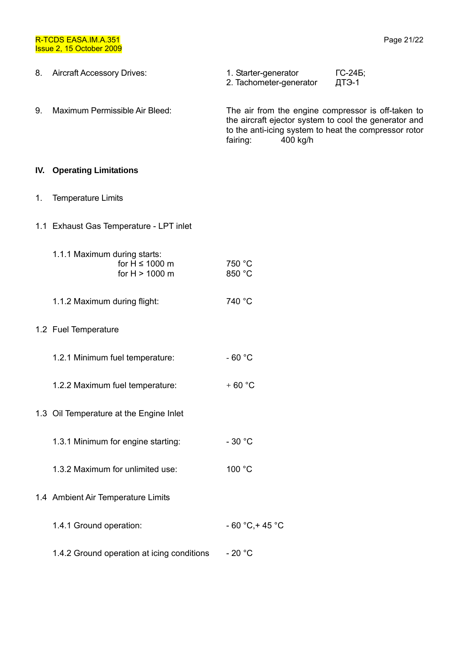R-TCDS EASA.IM.A.351 Issue 2, 15 October 2009

| 8. Aircraft Accessory Drives: | 1. Starter-generator<br>2. Tachometer-generator | $\Gamma$ C-246;<br>ДТЭ-1 |
|-------------------------------|-------------------------------------------------|--------------------------|
|                               |                                                 |                          |

9. Maximum Permissible Air Bleed: The air from the engine compressor is off-taken to the aircraft ejector system to cool the generator and to the anti-icing system to heat the compressor rotor fairing: 400 kg/h

#### **IV. Operating Limitations**

#### 1. Temperature Limits

1.1 Exhaust Gas Temperature - LPT inlet

| 1.1.1 Maximum during starts: |        |
|------------------------------|--------|
| for $H \le 1000$ m           | 750 °C |
| for $H > 1000$ m             | 850 °C |

- 1.1.2 Maximum during flight: 740 °C
- 1.2 Fuel Temperature
	- 1.2.1 Minimum fuel temperature: 60 °C
	- 1.2.2 Maximum fuel temperature:  $+60^{\circ}$ C
- 1.3 Oil Temperature at the Engine Inlet
	- 1.3.1 Minimum for engine starting: 30 °C
	- 1.3.2 Maximum for unlimited use: 100 °C
- 1.4 Ambient Air Temperature Limits
	- 1.4.1 Ground operation:  $-60 \degree C + 45 \degree C$
	- 1.4.2 Ground operation at icing conditions 20 °C